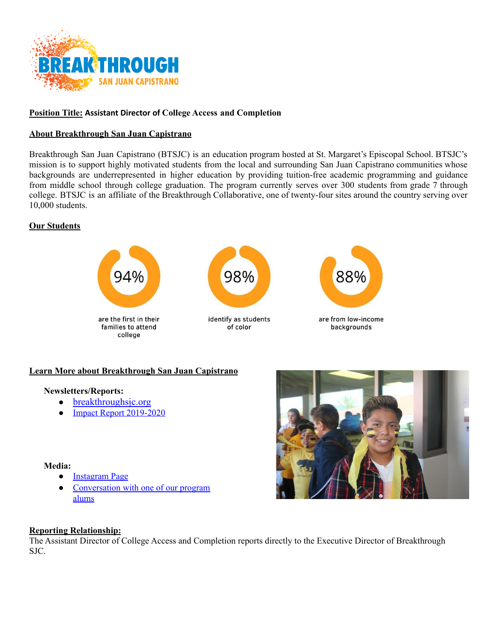

## **Position Title: Assistant Director of College Access and Completion**

### **About Breakthrough San Juan Capistrano**

Breakthrough San Juan Capistrano (BTSJC) is an education program hosted at St. Margaret's Episcopal School. BTSJC's mission is to support highly motivated students from the local and surrounding San Juan Capistrano communities whose backgrounds are underrepresented in higher education by providing tuition-free academic programming and guidance from middle school through college graduation. The program currently serves over 300 students from grade 7 through college. BTSJC is an affiliate of the Breakthrough Collaborative, one of twenty-four sites around the country serving over 10,000 students.

#### **Our Students**



### **Learn More about Breakthrough San Juan Capistrano**

#### **Newsletters/Reports:**

- [breakthroughsjc.org](http://breakthroughsjc.org/)
- [Impact Report 2019-2020](https://drive.google.com/file/d/1QbZh5tbVzHBPDyqt9d6pXoqA9MXRJGWX/view?usp=sharing)

#### **Media:**

- [Instagram Page](https://youtu.be/VFs-qI6zN4A)
- [Conversation with one of our program](https://youtu.be/pAxmVq6SYNA) [alums](https://www.instagram.com/breakthroughsanjuan/?hl=en)



### **Reporting Relationship:**

The Assistant Director of College Access and Completion reports directly to the Executive Director of Breakthrough SJC.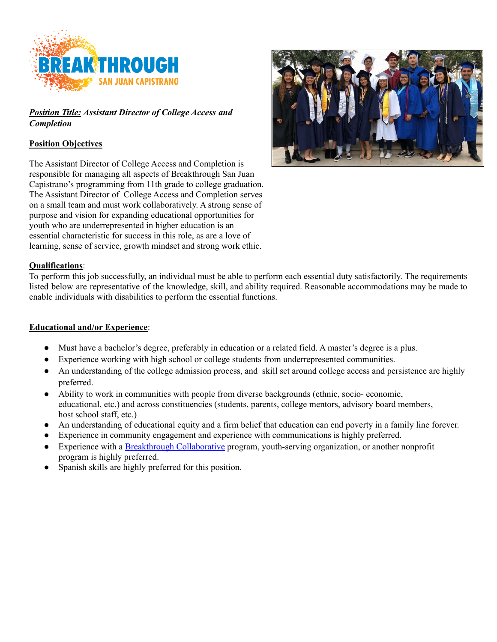

# *Position Title: Assistant Director of College Access and Completion*

# **Position Objectives**

The Assistant Director of College Access and Completion is responsible for managing all aspects of Breakthrough San Juan Capistrano's programming from 11th grade to college graduation. The Assistant Director of College Access and Completion serves on a small team and must work collaboratively. A strong sense of purpose and vision for expanding educational opportunities for youth who are underrepresented in higher education is an essential characteristic for success in this role, as are a love of learning, sense of service, growth mindset and strong work ethic.



## **Qualifications**:

To perform this job successfully, an individual must be able to perform each essential duty satisfactorily. The requirements listed below are representative of the knowledge, skill, and ability required. Reasonable accommodations may be made to enable individuals with disabilities to perform the essential functions.

### **Educational and/or Experience**:

- Must have a bachelor's degree, preferably in education or a related field. A master's degree is a plus.
- Experience working with high school or college students from underrepresented communities.
- An understanding of the college admission process, and skill set around college access and persistence are highly preferred.
- Ability to work in communities with people from diverse backgrounds (ethnic, socio- economic, educational, etc.) and across constituencies (students, parents, college mentors, advisory board members, host school staff, etc.)
- An understanding of educational equity and a firm belief that education can end poverty in a family line forever.
- Experience in community engagement and experience with communications is highly preferred.
- Experience with a [Breakthrough Collaborative](https://www.breakthroughcollaborative.org/) program, youth-serving organization, or another nonprofit program is highly preferred.
- Spanish skills are highly preferred for this position.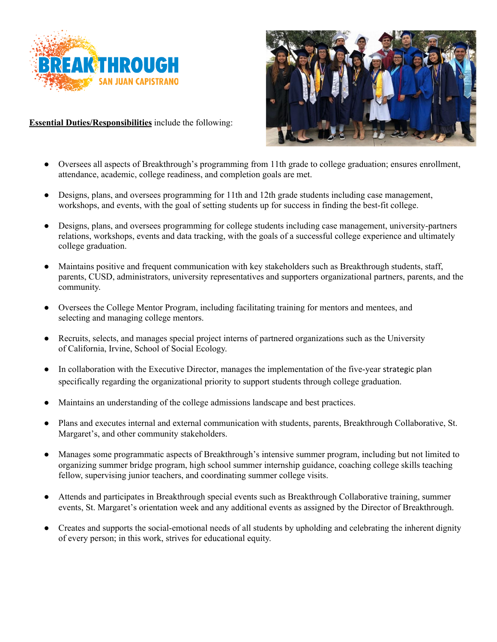

**Essential Duties/Responsibilities** include the following:



- Oversees all aspects of Breakthrough's programming from 11th grade to college graduation; ensures enrollment, attendance, academic, college readiness, and completion goals are met.
- Designs, plans, and oversees programming for 11th and 12th grade students including case management, workshops, and events, with the goal of setting students up for success in finding the best-fit college.
- Designs, plans, and oversees programming for college students including case management, university-partners relations, workshops, events and data tracking, with the goals of a successful college experience and ultimately college graduation.
- Maintains positive and frequent communication with key stakeholders such as Breakthrough students, staff, parents, CUSD, administrators, university representatives and supporters organizational partners, parents, [and the](https://issuu.com/smtartans/docs/breakthrough_strategicplan_2017) community.
- Oversees the College Mentor Program, including facilitating training for mentors and mentees, and selecting and managing college mentors.
- Recruits, selects, and manages special project interns of partnered organizations such as the University of California, Irvine, School of Social Ecology.
- In collaboration with the Executive Director, manages the implementation of the five-year strategic plan specifically regarding the organizational priority to support students through college graduation.
- Maintains an understanding of the college admissions landscape and best practices.
- Plans and executes internal and external communication with students, parents, Breakthrough Collaborative, St. Margaret's, and other community stakeholders.
- Manages some programmatic aspects of Breakthrough's intensive summer program, including but not limited to organizing summer bridge program, high school summer internship guidance, coaching college skills teaching fellow, supervising junior teachers, and coordinating summer college visits.
- Attends and participates in Breakthrough special events such as Breakthrough Collaborative training, summer events, St. Margaret's orientation week and any additional events as assigned by the Director of Breakthrough.
- Creates and supports the social-emotional needs of all students by upholding and celebrating the inherent dignity of every person; in this work, strives for educational equity.